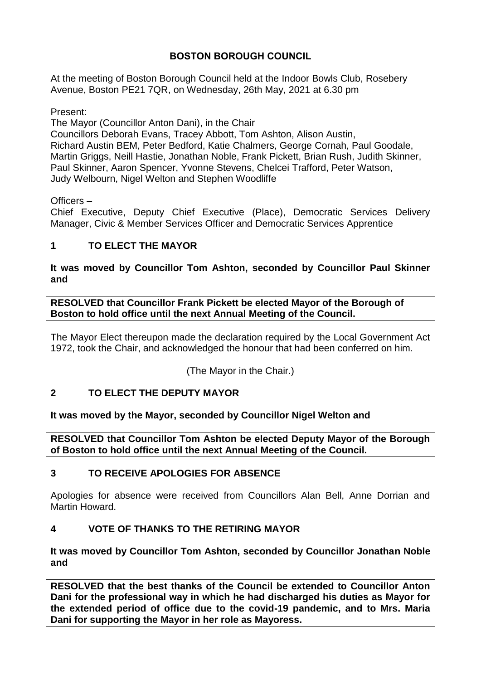# **BOSTON BOROUGH COUNCIL**

At the meeting of Boston Borough Council held at the Indoor Bowls Club, Rosebery Avenue, Boston PE21 7QR, on Wednesday, 26th May, 2021 at 6.30 pm

Present:

The Mayor (Councillor Anton Dani), in the Chair Councillors Deborah Evans, Tracey Abbott, Tom Ashton, Alison Austin, Richard Austin BEM, Peter Bedford, Katie Chalmers, George Cornah, Paul Goodale, Martin Griggs, Neill Hastie, Jonathan Noble, Frank Pickett, Brian Rush, Judith Skinner, Paul Skinner, Aaron Spencer, Yvonne Stevens, Chelcei Trafford, Peter Watson, Judy Welbourn, Nigel Welton and Stephen Woodliffe

Officers –

Chief Executive, Deputy Chief Executive (Place), Democratic Services Delivery Manager, Civic & Member Services Officer and Democratic Services Apprentice

# **1 TO ELECT THE MAYOR**

## **It was moved by Councillor Tom Ashton, seconded by Councillor Paul Skinner and**

**RESOLVED that Councillor Frank Pickett be elected Mayor of the Borough of Boston to hold office until the next Annual Meeting of the Council.**

The Mayor Elect thereupon made the declaration required by the Local Government Act 1972, took the Chair, and acknowledged the honour that had been conferred on him.

(The Mayor in the Chair.)

# **2 TO ELECT THE DEPUTY MAYOR**

# **It was moved by the Mayor, seconded by Councillor Nigel Welton and**

**RESOLVED that Councillor Tom Ashton be elected Deputy Mayor of the Borough of Boston to hold office until the next Annual Meeting of the Council.**

# **3 TO RECEIVE APOLOGIES FOR ABSENCE**

Apologies for absence were received from Councillors Alan Bell, Anne Dorrian and Martin Howard.

# **4 VOTE OF THANKS TO THE RETIRING MAYOR**

## **It was moved by Councillor Tom Ashton, seconded by Councillor Jonathan Noble and**

**RESOLVED that the best thanks of the Council be extended to Councillor Anton Dani for the professional way in which he had discharged his duties as Mayor for the extended period of office due to the covid-19 pandemic, and to Mrs. Maria Dani for supporting the Mayor in her role as Mayoress.**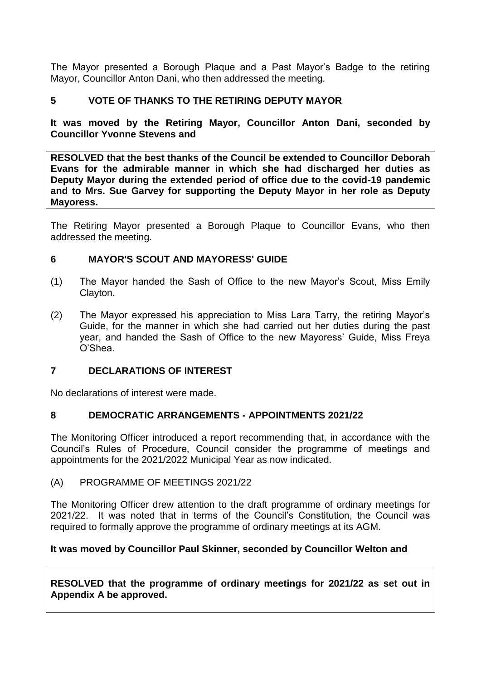The Mayor presented a Borough Plaque and a Past Mayor's Badge to the retiring Mayor, Councillor Anton Dani, who then addressed the meeting.

## **5 VOTE OF THANKS TO THE RETIRING DEPUTY MAYOR**

**It was moved by the Retiring Mayor, Councillor Anton Dani, seconded by Councillor Yvonne Stevens and**

**RESOLVED that the best thanks of the Council be extended to Councillor Deborah Evans for the admirable manner in which she had discharged her duties as Deputy Mayor during the extended period of office due to the covid-19 pandemic and to Mrs. Sue Garvey for supporting the Deputy Mayor in her role as Deputy Mayoress.** 

The Retiring Mayor presented a Borough Plaque to Councillor Evans, who then addressed the meeting.

#### **6 MAYOR'S SCOUT AND MAYORESS' GUIDE**

- (1) The Mayor handed the Sash of Office to the new Mayor's Scout, Miss Emily Clayton.
- (2) The Mayor expressed his appreciation to Miss Lara Tarry, the retiring Mayor's Guide, for the manner in which she had carried out her duties during the past year, and handed the Sash of Office to the new Mayoress' Guide, Miss Freya O'Shea.

#### **7 DECLARATIONS OF INTEREST**

No declarations of interest were made.

#### **8 DEMOCRATIC ARRANGEMENTS - APPOINTMENTS 2021/22**

The Monitoring Officer introduced a report recommending that, in accordance with the Council's Rules of Procedure, Council consider the programme of meetings and appointments for the 2021/2022 Municipal Year as now indicated.

#### (A) PROGRAMME OF MEETINGS 2021/22

The Monitoring Officer drew attention to the draft programme of ordinary meetings for 2021/22. It was noted that in terms of the Council's Constitution, the Council was required to formally approve the programme of ordinary meetings at its AGM.

#### **It was moved by Councillor Paul Skinner, seconded by Councillor Welton and**

**RESOLVED that the programme of ordinary meetings for 2021/22 as set out in Appendix A be approved.**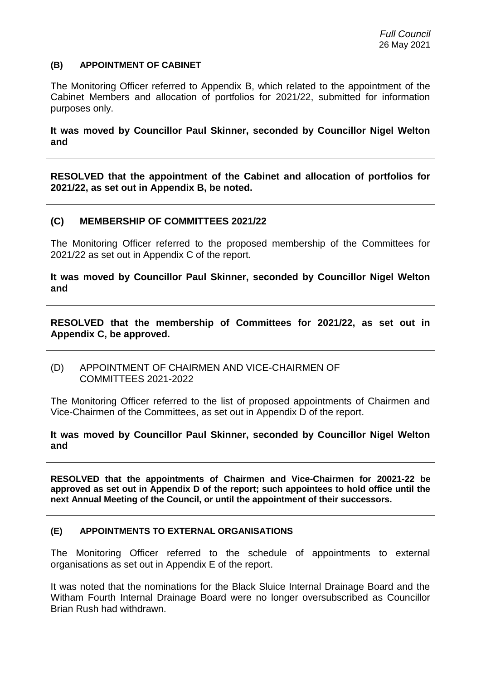#### **(B) APPOINTMENT OF CABINET**

The Monitoring Officer referred to Appendix B, which related to the appointment of the Cabinet Members and allocation of portfolios for 2021/22, submitted for information purposes only.

**It was moved by Councillor Paul Skinner, seconded by Councillor Nigel Welton and** 

**RESOLVED that the appointment of the Cabinet and allocation of portfolios for 2021/22, as set out in Appendix B, be noted.** 

## **(C) MEMBERSHIP OF COMMITTEES 2021/22**

The Monitoring Officer referred to the proposed membership of the Committees for 2021/22 as set out in Appendix C of the report.

**It was moved by Councillor Paul Skinner, seconded by Councillor Nigel Welton and**

**RESOLVED that the membership of Committees for 2021/22, as set out in Appendix C, be approved.**

(D) APPOINTMENT OF CHAIRMEN AND VICE-CHAIRMEN OF COMMITTEES 2021-2022

The Monitoring Officer referred to the list of proposed appointments of Chairmen and Vice-Chairmen of the Committees, as set out in Appendix D of the report.

#### **It was moved by Councillor Paul Skinner, seconded by Councillor Nigel Welton and**

**RESOLVED that the appointments of Chairmen and Vice-Chairmen for 20021-22 be approved as set out in Appendix D of the report; such appointees to hold office until the next Annual Meeting of the Council, or until the appointment of their successors.**

#### **(E) APPOINTMENTS TO EXTERNAL ORGANISATIONS**

The Monitoring Officer referred to the schedule of appointments to external organisations as set out in Appendix E of the report.

It was noted that the nominations for the Black Sluice Internal Drainage Board and the Witham Fourth Internal Drainage Board were no longer oversubscribed as Councillor Brian Rush had withdrawn.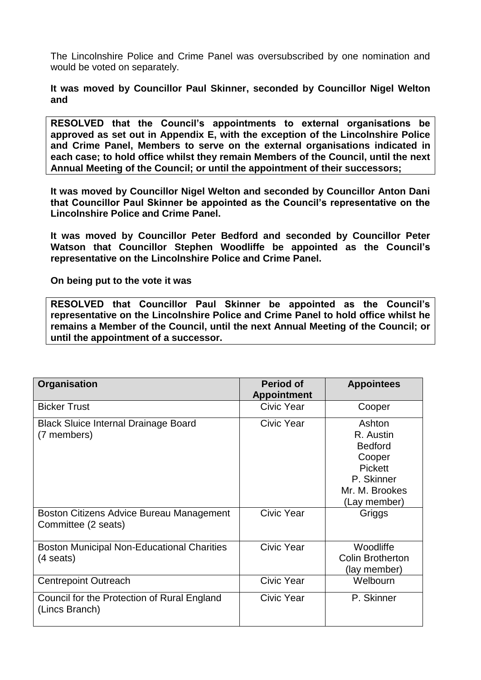The Lincolnshire Police and Crime Panel was oversubscribed by one nomination and would be voted on separately.

**It was moved by Councillor Paul Skinner, seconded by Councillor Nigel Welton and** 

**RESOLVED that the Council's appointments to external organisations be approved as set out in Appendix E, with the exception of the Lincolnshire Police and Crime Panel, Members to serve on the external organisations indicated in each case; to hold office whilst they remain Members of the Council, until the next Annual Meeting of the Council; or until the appointment of their successors;** 

**It was moved by Councillor Nigel Welton and seconded by Councillor Anton Dani that Councillor Paul Skinner be appointed as the Council's representative on the Lincolnshire Police and Crime Panel.**

**It was moved by Councillor Peter Bedford and seconded by Councillor Peter Watson that Councillor Stephen Woodliffe be appointed as the Council's representative on the Lincolnshire Police and Crime Panel.**

**On being put to the vote it was** 

**RESOLVED that Councillor Paul Skinner be appointed as the Council's representative on the Lincolnshire Police and Crime Panel to hold office whilst he remains a Member of the Council, until the next Annual Meeting of the Council; or until the appointment of a successor.**

| Organisation                                                    | <b>Period of</b>   | <b>Appointees</b>       |
|-----------------------------------------------------------------|--------------------|-------------------------|
|                                                                 | <b>Appointment</b> |                         |
| <b>Bicker Trust</b>                                             | Civic Year         | Cooper                  |
| <b>Black Sluice Internal Drainage Board</b><br>(7 members)      | Civic Year         | Ashton<br>R. Austin     |
|                                                                 |                    | <b>Bedford</b>          |
|                                                                 |                    | Cooper                  |
|                                                                 |                    | <b>Pickett</b>          |
|                                                                 |                    | P. Skinner              |
|                                                                 |                    | Mr. M. Brookes          |
|                                                                 |                    | (Lay member)            |
| Boston Citizens Advice Bureau Management<br>Committee (2 seats) | Civic Year         | Griggs                  |
| <b>Boston Municipal Non-Educational Charities</b>               | Civic Year         | Woodliffe               |
| $(4$ seats)                                                     |                    | <b>Colin Brotherton</b> |
|                                                                 |                    | (lay member)            |
| <b>Centrepoint Outreach</b>                                     | <b>Civic Year</b>  | Welbourn                |
| Council for the Protection of Rural England<br>(Lincs Branch)   | Civic Year         | P. Skinner              |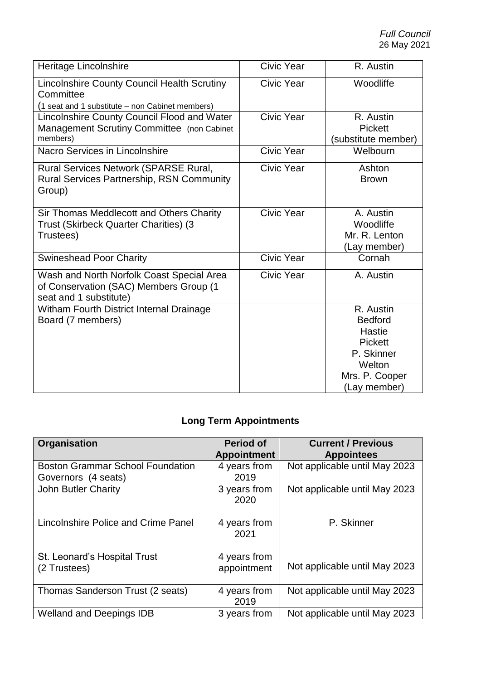| Heritage Lincolnshire                                                                                              | Civic Year        | R. Austin                                                                                                                |
|--------------------------------------------------------------------------------------------------------------------|-------------------|--------------------------------------------------------------------------------------------------------------------------|
| <b>Lincolnshire County Council Health Scrutiny</b><br>Committee<br>(1 seat and 1 substitute – non Cabinet members) | Civic Year        | Woodliffe                                                                                                                |
| Lincolnshire County Council Flood and Water<br>Management Scrutiny Committee (non Cabinet<br>members)              | Civic Year        | R. Austin<br><b>Pickett</b><br>(substitute member)                                                                       |
| Nacro Services in Lincolnshire                                                                                     | Civic Year        | Welbourn                                                                                                                 |
| Rural Services Network (SPARSE Rural,<br><b>Rural Services Partnership, RSN Community</b><br>Group)                | Civic Year        | Ashton<br><b>Brown</b>                                                                                                   |
| Sir Thomas Meddlecott and Others Charity<br>Trust (Skirbeck Quarter Charities) (3<br>Trustees)                     | Civic Year        | A. Austin<br>Woodliffe<br>Mr. R. Lenton<br>(Lay member)                                                                  |
| <b>Swineshead Poor Charity</b>                                                                                     | Civic Year        | Cornah                                                                                                                   |
| Wash and North Norfolk Coast Special Area<br>of Conservation (SAC) Members Group (1<br>seat and 1 substitute)      | <b>Civic Year</b> | A. Austin                                                                                                                |
| Witham Fourth District Internal Drainage<br>Board (7 members)                                                      |                   | R. Austin<br><b>Bedford</b><br><b>Hastie</b><br><b>Pickett</b><br>P. Skinner<br>Welton<br>Mrs. P. Cooper<br>(Lay member) |

# **Long Term Appointments**

| <b>Organisation</b>                                            | Period of<br><b>Appointment</b> | <b>Current / Previous</b><br><b>Appointees</b> |
|----------------------------------------------------------------|---------------------------------|------------------------------------------------|
| <b>Boston Grammar School Foundation</b><br>Governors (4 seats) | 4 years from<br>2019            | Not applicable until May 2023                  |
| John Butler Charity                                            | 3 years from<br>2020            | Not applicable until May 2023                  |
| Lincolnshire Police and Crime Panel                            | 4 years from<br>2021            | P. Skinner                                     |
| St. Leonard's Hospital Trust<br>(2 Trustees)                   | 4 years from<br>appointment     | Not applicable until May 2023                  |
| Thomas Sanderson Trust (2 seats)                               | 4 years from<br>2019            | Not applicable until May 2023                  |
| <b>Welland and Deepings IDB</b>                                | 3 years from                    | Not applicable until May 2023                  |